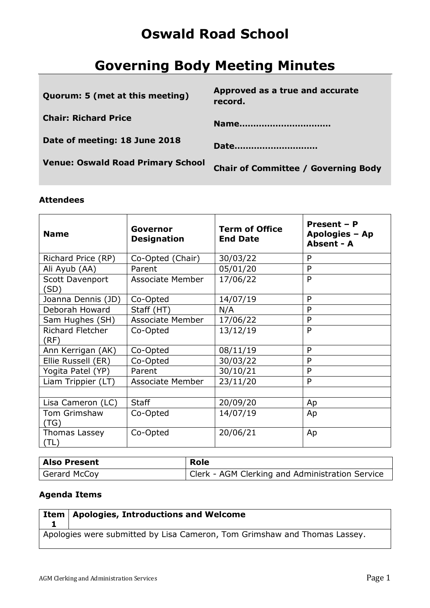## **Oswald Road School**

# **Governing Body Meeting Minutes**

| Quorum: 5 (met at this meeting)          | Approved as a true and accurate<br>record. |
|------------------------------------------|--------------------------------------------|
| <b>Chair: Richard Price</b>              | Name                                       |
| Date of meeting: 18 June 2018            | Date                                       |
| <b>Venue: Oswald Road Primary School</b> | <b>Chair of Committee / Governing Body</b> |
|                                          |                                            |

### **Attendees**

| <b>Name</b>                  | Governor<br><b>Designation</b> | <b>Term of Office</b><br><b>End Date</b> | Present - P<br>Apologies - Ap<br>Absent - A |
|------------------------------|--------------------------------|------------------------------------------|---------------------------------------------|
| Richard Price (RP)           | Co-Opted (Chair)               | 30/03/22                                 | P                                           |
| Ali Ayub (AA)                | Parent                         | 05/01/20                                 | P                                           |
| Scott Davenport<br>(SD)      | <b>Associate Member</b>        | 17/06/22                                 | P                                           |
| Joanna Dennis (JD)           | Co-Opted                       | 14/07/19                                 | P                                           |
| Deborah Howard               | Staff (HT)                     | N/A                                      | P                                           |
| Sam Hughes (SH)              | <b>Associate Member</b>        | 17/06/22                                 | P                                           |
| Richard Fletcher<br>(RF)     | Co-Opted                       | 13/12/19                                 | P                                           |
| Ann Kerrigan (AK)            | Co-Opted                       | 08/11/19                                 | P                                           |
| Ellie Russell (ER)           | Co-Opted                       | 30/03/22                                 | P                                           |
| Yogita Patel (YP)            | Parent                         | 30/10/21                                 | P                                           |
| Liam Trippier (LT)           | <b>Associate Member</b>        | 23/11/20                                 | P                                           |
|                              |                                |                                          |                                             |
| Lisa Cameron (LC)            | <b>Staff</b>                   | 20/09/20                                 | Ap                                          |
| Tom Grimshaw<br>(TG)         | Co-Opted                       | 14/07/19                                 | Ap                                          |
| <b>Thomas Lassey</b><br>(TL) | Co-Opted                       | 20/06/21                                 | Ap                                          |

| Also Present | <b>Role</b>                                     |
|--------------|-------------------------------------------------|
| Gerard McCoy | Clerk - AGM Clerking and Administration Service |

## **Agenda Items**

| $\frac{1}{2}$ Item   Apologies, Introductions and Welcome                 |
|---------------------------------------------------------------------------|
|                                                                           |
| Apologies were submitted by Lisa Cameron, Tom Grimshaw and Thomas Lassey. |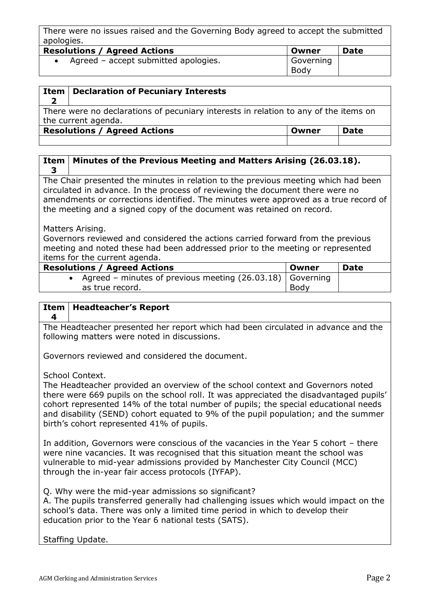There were no issues raised and the Governing Body agreed to accept the submitted apologies.

| <b>Resolutions / Agreed Actions</b>  | Owner             | <b>Date</b> |
|--------------------------------------|-------------------|-------------|
| Agreed – accept submitted apologies. | Governing<br>Body |             |

| Item                                                                                 | <b>Declaration of Pecuniary Interests</b> |  |  |
|--------------------------------------------------------------------------------------|-------------------------------------------|--|--|
|                                                                                      |                                           |  |  |
| There were no declarations of pecuniary interests in relation to any of the items on |                                           |  |  |
| the current agenda.                                                                  |                                           |  |  |
| <b>Resolutions / Agreed Actions</b><br><b>Date</b><br>Owner                          |                                           |  |  |
|                                                                                      |                                           |  |  |
|                                                                                      |                                           |  |  |

### **Item 3 Minutes of the Previous Meeting and Matters Arising (26.03.18).**

The Chair presented the minutes in relation to the previous meeting which had been circulated in advance. In the process of reviewing the document there were no amendments or corrections identified. The minutes were approved as a true record of the meeting and a signed copy of the document was retained on record.

### Matters Arising.

Governors reviewed and considered the actions carried forward from the previous meeting and noted these had been addressed prior to the meeting or represented items for the current agenda.

| <b>Resolutions / Agreed Actions</b>                         | Owner | <b>Date</b> |
|-------------------------------------------------------------|-------|-------------|
| Agreed – minutes of previous meeting $(26.03.18)$ Governing |       |             |
| as true record.                                             | Body  |             |

#### **Item 4 Headteacher's Report**

The Headteacher presented her report which had been circulated in advance and the following matters were noted in discussions.

Governors reviewed and considered the document.

School Context.

The Headteacher provided an overview of the school context and Governors noted there were 669 pupils on the school roll. It was appreciated the disadvantaged pupils' cohort represented 14% of the total number of pupils; the special educational needs and disability (SEND) cohort equated to 9% of the pupil population; and the summer birth's cohort represented 41% of pupils.

In addition, Governors were conscious of the vacancies in the Year 5 cohort – there were nine vacancies. It was recognised that this situation meant the school was vulnerable to mid-year admissions provided by Manchester City Council (MCC) through the in-year fair access protocols (IYFAP).

Q. Why were the mid-year admissions so significant?

A. The pupils transferred generally had challenging issues which would impact on the school's data. There was only a limited time period in which to develop their education prior to the Year 6 national tests (SATS).

Staffing Update.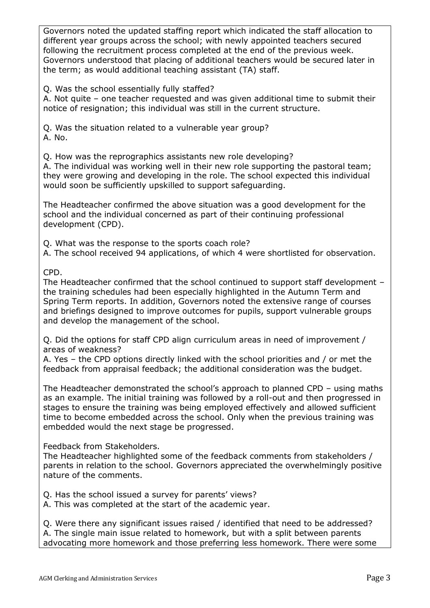Governors noted the updated staffing report which indicated the staff allocation to different year groups across the school; with newly appointed teachers secured following the recruitment process completed at the end of the previous week. Governors understood that placing of additional teachers would be secured later in the term; as would additional teaching assistant (TA) staff.

Q. Was the school essentially fully staffed?

A. Not quite – one teacher requested and was given additional time to submit their notice of resignation; this individual was still in the current structure.

Q. Was the situation related to a vulnerable year group? A. No.

Q. How was the reprographics assistants new role developing?

A. The individual was working well in their new role supporting the pastoral team; they were growing and developing in the role. The school expected this individual would soon be sufficiently upskilled to support safeguarding.

The Headteacher confirmed the above situation was a good development for the school and the individual concerned as part of their continuing professional development (CPD).

Q. What was the response to the sports coach role?

A. The school received 94 applications, of which 4 were shortlisted for observation.

CPD.

The Headteacher confirmed that the school continued to support staff development – the training schedules had been especially highlighted in the Autumn Term and Spring Term reports. In addition, Governors noted the extensive range of courses and briefings designed to improve outcomes for pupils, support vulnerable groups and develop the management of the school.

Q. Did the options for staff CPD align curriculum areas in need of improvement / areas of weakness?

A. Yes – the CPD options directly linked with the school priorities and / or met the feedback from appraisal feedback; the additional consideration was the budget.

The Headteacher demonstrated the school's approach to planned CPD – using maths as an example. The initial training was followed by a roll-out and then progressed in stages to ensure the training was being employed effectively and allowed sufficient time to become embedded across the school. Only when the previous training was embedded would the next stage be progressed.

Feedback from Stakeholders.

The Headteacher highlighted some of the feedback comments from stakeholders / parents in relation to the school. Governors appreciated the overwhelmingly positive nature of the comments.

Q. Has the school issued a survey for parents' views?

A. This was completed at the start of the academic year.

Q. Were there any significant issues raised / identified that need to be addressed? A. The single main issue related to homework, but with a split between parents advocating more homework and those preferring less homework. There were some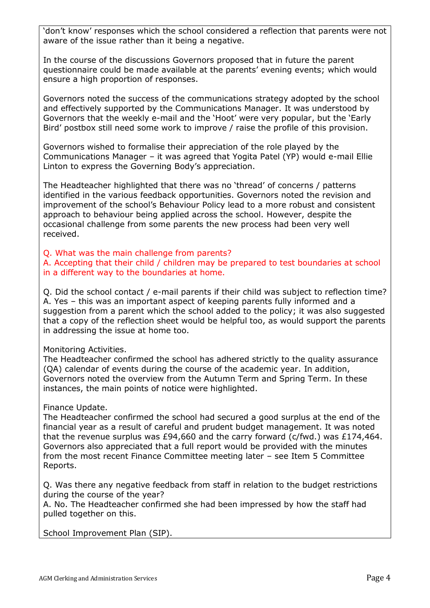'don't know' responses which the school considered a reflection that parents were not aware of the issue rather than it being a negative.

In the course of the discussions Governors proposed that in future the parent questionnaire could be made available at the parents' evening events; which would ensure a high proportion of responses.

Governors noted the success of the communications strategy adopted by the school and effectively supported by the Communications Manager. It was understood by Governors that the weekly e-mail and the 'Hoot' were very popular, but the 'Early Bird' postbox still need some work to improve / raise the profile of this provision.

Governors wished to formalise their appreciation of the role played by the Communications Manager – it was agreed that Yogita Patel (YP) would e-mail Ellie Linton to express the Governing Body's appreciation.

The Headteacher highlighted that there was no 'thread' of concerns / patterns identified in the various feedback opportunities. Governors noted the revision and improvement of the school's Behaviour Policy lead to a more robust and consistent approach to behaviour being applied across the school. However, despite the occasional challenge from some parents the new process had been very well received.

Q. What was the main challenge from parents?

A. Accepting that their child / children may be prepared to test boundaries at school in a different way to the boundaries at home.

Q. Did the school contact / e-mail parents if their child was subject to reflection time? A. Yes – this was an important aspect of keeping parents fully informed and a suggestion from a parent which the school added to the policy; it was also suggested that a copy of the reflection sheet would be helpful too, as would support the parents in addressing the issue at home too.

Monitoring Activities.

The Headteacher confirmed the school has adhered strictly to the quality assurance (QA) calendar of events during the course of the academic year. In addition, Governors noted the overview from the Autumn Term and Spring Term. In these instances, the main points of notice were highlighted.

### Finance Update.

The Headteacher confirmed the school had secured a good surplus at the end of the financial year as a result of careful and prudent budget management. It was noted that the revenue surplus was £94,660 and the carry forward (c/fwd.) was £174,464. Governors also appreciated that a full report would be provided with the minutes from the most recent Finance Committee meeting later – see Item 5 Committee Reports.

Q. Was there any negative feedback from staff in relation to the budget restrictions during the course of the year?

A. No. The Headteacher confirmed she had been impressed by how the staff had pulled together on this.

School Improvement Plan (SIP).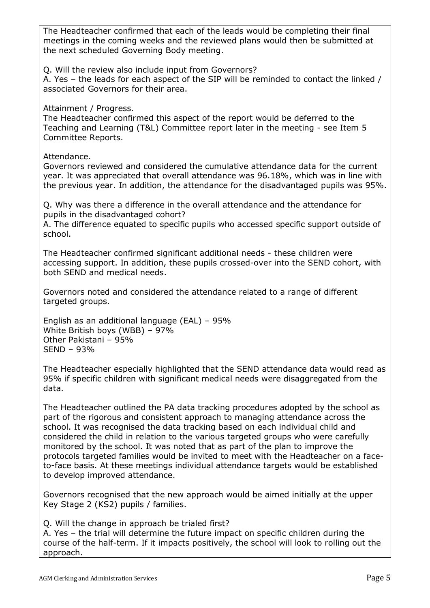The Headteacher confirmed that each of the leads would be completing their final meetings in the coming weeks and the reviewed plans would then be submitted at the next scheduled Governing Body meeting. Q. Will the review also include input from Governors? A. Yes – the leads for each aspect of the SIP will be reminded to contact the linked / associated Governors for their area. Attainment / Progress. The Headteacher confirmed this aspect of the report would be deferred to the Teaching and Learning (T&L) Committee report later in the meeting - see Item 5 Committee Reports. Attendance. Governors reviewed and considered the cumulative attendance data for the current year. It was appreciated that overall attendance was 96.18%, which was in line with the previous year. In addition, the attendance for the disadvantaged pupils was 95%. Q. Why was there a difference in the overall attendance and the attendance for pupils in the disadvantaged cohort? A. The difference equated to specific pupils who accessed specific support outside of school. The Headteacher confirmed significant additional needs - these children were accessing support. In addition, these pupils crossed-over into the SEND cohort, with both SEND and medical needs. Governors noted and considered the attendance related to a range of different targeted groups. English as an additional language (EAL) – 95% White British boys (WBB) – 97% Other Pakistani – 95% SEND – 93% The Headteacher especially highlighted that the SEND attendance data would read as 95% if specific children with significant medical needs were disaggregated from the data. The Headteacher outlined the PA data tracking procedures adopted by the school as part of the rigorous and consistent approach to managing attendance across the school. It was recognised the data tracking based on each individual child and considered the child in relation to the various targeted groups who were carefully monitored by the school. It was noted that as part of the plan to improve the protocols targeted families would be invited to meet with the Headteacher on a faceto-face basis. At these meetings individual attendance targets would be established to develop improved attendance.

Governors recognised that the new approach would be aimed initially at the upper Key Stage 2 (KS2) pupils / families.

Q. Will the change in approach be trialed first? A. Yes – the trial will determine the future impact on specific children during the course of the half-term. If it impacts positively, the school will look to rolling out the approach.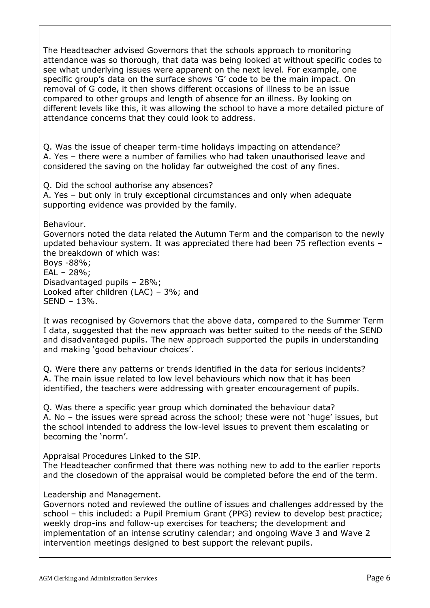The Headteacher advised Governors that the schools approach to monitoring attendance was so thorough, that data was being looked at without specific codes to see what underlying issues were apparent on the next level. For example, one specific group's data on the surface shows 'G' code to be the main impact. On removal of G code, it then shows different occasions of illness to be an issue compared to other groups and length of absence for an illness. By looking on different levels like this, it was allowing the school to have a more detailed picture of attendance concerns that they could look to address.

Q. Was the issue of cheaper term-time holidays impacting on attendance? A. Yes – there were a number of families who had taken unauthorised leave and considered the saving on the holiday far outweighed the cost of any fines.

Q. Did the school authorise any absences?

A. Yes – but only in truly exceptional circumstances and only when adequate supporting evidence was provided by the family.

Behaviour.

Governors noted the data related the Autumn Term and the comparison to the newly updated behaviour system. It was appreciated there had been 75 reflection events – the breakdown of which was:

Boys -88%; EAL – 28%; Disadvantaged pupils – 28%; Looked after children (LAC) – 3%; and SEND – 13%.

It was recognised by Governors that the above data, compared to the Summer Term I data, suggested that the new approach was better suited to the needs of the SEND and disadvantaged pupils. The new approach supported the pupils in understanding and making 'good behaviour choices'.

Q. Were there any patterns or trends identified in the data for serious incidents? A. The main issue related to low level behaviours which now that it has been identified, the teachers were addressing with greater encouragement of pupils.

Q. Was there a specific year group which dominated the behaviour data? A. No – the issues were spread across the school; these were not 'huge' issues, but the school intended to address the low-level issues to prevent them escalating or becoming the 'norm'.

Appraisal Procedures Linked to the SIP.

The Headteacher confirmed that there was nothing new to add to the earlier reports and the closedown of the appraisal would be completed before the end of the term.

Leadership and Management.

Governors noted and reviewed the outline of issues and challenges addressed by the school – this included: a Pupil Premium Grant (PPG) review to develop best practice; weekly drop-ins and follow-up exercises for teachers; the development and implementation of an intense scrutiny calendar; and ongoing Wave 3 and Wave 2 intervention meetings designed to best support the relevant pupils.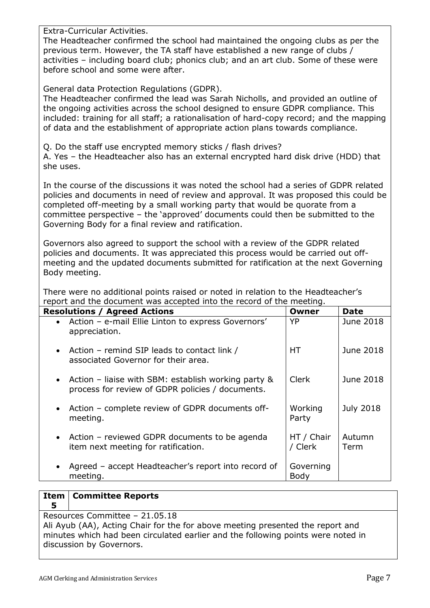Extra-Curricular Activities.

The Headteacher confirmed the school had maintained the ongoing clubs as per the previous term. However, the TA staff have established a new range of clubs / activities – including board club; phonics club; and an art club. Some of these were before school and some were after.

General data Protection Regulations (GDPR).

The Headteacher confirmed the lead was Sarah Nicholls, and provided an outline of the ongoing activities across the school designed to ensure GDPR compliance. This included: training for all staff; a rationalisation of hard-copy record; and the mapping of data and the establishment of appropriate action plans towards compliance.

Q. Do the staff use encrypted memory sticks / flash drives?

A. Yes – the Headteacher also has an external encrypted hard disk drive (HDD) that she uses.

In the course of the discussions it was noted the school had a series of GDPR related policies and documents in need of review and approval. It was proposed this could be completed off-meeting by a small working party that would be quorate from a committee perspective – the 'approved' documents could then be submitted to the Governing Body for a final review and ratification.

Governors also agreed to support the school with a review of the GDPR related policies and documents. It was appreciated this process would be carried out offmeeting and the updated documents submitted for ratification at the next Governing Body meeting.

There were no additional points raised or noted in relation to the Headteacher's report and the document was accepted into the record of the meeting.

| <b>Resolutions / Agreed Actions</b>                                                                          | Owner                 | <b>Date</b>      |
|--------------------------------------------------------------------------------------------------------------|-----------------------|------------------|
| • Action - e-mail Ellie Linton to express Governors'<br>appreciation.                                        | <b>YP</b>             | June 2018        |
| • Action – remind SIP leads to contact link /<br>associated Governor for their area.                         | <b>HT</b>             | June 2018        |
| • Action – liaise with SBM: establish working party $\&$<br>process for review of GDPR policies / documents. | <b>Clerk</b>          | June 2018        |
| • Action – complete review of GDPR documents off-<br>meeting.                                                | Working<br>Party      | <b>July 2018</b> |
| • Action – reviewed GDPR documents to be agenda<br>item next meeting for ratification.                       | HT / Chair<br>/ Clerk | Autumn<br>Term   |
| Agreed – accept Headteacher's report into record of<br>$\bullet$<br>meeting.                                 | Governing<br>Body     |                  |

#### **Item Committee Reports**

**5**

Resources Committee – 21.05.18

Ali Ayub (AA), Acting Chair for the for above meeting presented the report and minutes which had been circulated earlier and the following points were noted in discussion by Governors.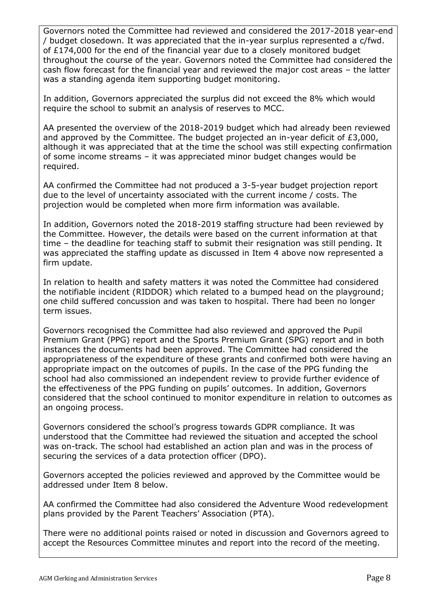Governors noted the Committee had reviewed and considered the 2017-2018 year-end / budget closedown. It was appreciated that the in-year surplus represented a c/fwd. of £174,000 for the end of the financial year due to a closely monitored budget throughout the course of the year. Governors noted the Committee had considered the cash flow forecast for the financial year and reviewed the major cost areas – the latter was a standing agenda item supporting budget monitoring.

In addition, Governors appreciated the surplus did not exceed the 8% which would require the school to submit an analysis of reserves to MCC.

AA presented the overview of the 2018-2019 budget which had already been reviewed and approved by the Committee. The budget projected an in-year deficit of £3,000, although it was appreciated that at the time the school was still expecting confirmation of some income streams – it was appreciated minor budget changes would be required.

AA confirmed the Committee had not produced a 3-5-year budget projection report due to the level of uncertainty associated with the current income / costs. The projection would be completed when more firm information was available.

In addition, Governors noted the 2018-2019 staffing structure had been reviewed by the Committee. However, the details were based on the current information at that time – the deadline for teaching staff to submit their resignation was still pending. It was appreciated the staffing update as discussed in Item 4 above now represented a firm update.

In relation to health and safety matters it was noted the Committee had considered the notifiable incident (RIDDOR) which related to a bumped head on the playground; one child suffered concussion and was taken to hospital. There had been no longer term issues.

Governors recognised the Committee had also reviewed and approved the Pupil Premium Grant (PPG) report and the Sports Premium Grant (SPG) report and in both instances the documents had been approved. The Committee had considered the appropriateness of the expenditure of these grants and confirmed both were having an appropriate impact on the outcomes of pupils. In the case of the PPG funding the school had also commissioned an independent review to provide further evidence of the effectiveness of the PPG funding on pupils' outcomes. In addition, Governors considered that the school continued to monitor expenditure in relation to outcomes as an ongoing process.

Governors considered the school's progress towards GDPR compliance. It was understood that the Committee had reviewed the situation and accepted the school was on-track. The school had established an action plan and was in the process of securing the services of a data protection officer (DPO).

Governors accepted the policies reviewed and approved by the Committee would be addressed under Item 8 below.

AA confirmed the Committee had also considered the Adventure Wood redevelopment plans provided by the Parent Teachers' Association (PTA).

There were no additional points raised or noted in discussion and Governors agreed to accept the Resources Committee minutes and report into the record of the meeting.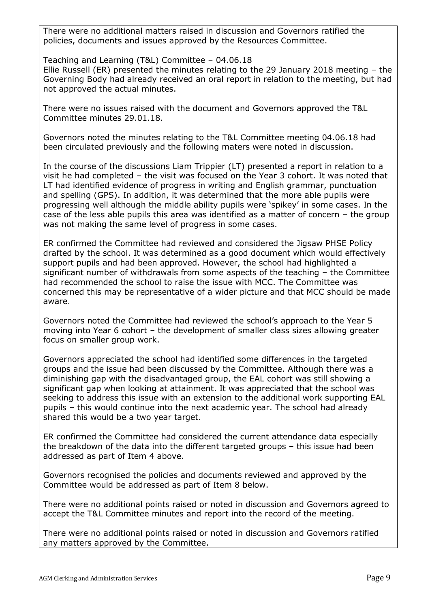There were no additional matters raised in discussion and Governors ratified the policies, documents and issues approved by the Resources Committee.

Teaching and Learning (T&L) Committee – 04.06.18 Ellie Russell (ER) presented the minutes relating to the 29 January 2018 meeting – the Governing Body had already received an oral report in relation to the meeting, but had not approved the actual minutes.

There were no issues raised with the document and Governors approved the T&L Committee minutes 29.01.18.

Governors noted the minutes relating to the T&L Committee meeting 04.06.18 had been circulated previously and the following maters were noted in discussion.

In the course of the discussions Liam Trippier (LT) presented a report in relation to a visit he had completed – the visit was focused on the Year 3 cohort. It was noted that LT had identified evidence of progress in writing and English grammar, punctuation and spelling (GPS). In addition, it was determined that the more able pupils were progressing well although the middle ability pupils were 'spikey' in some cases. In the case of the less able pupils this area was identified as a matter of concern – the group was not making the same level of progress in some cases.

ER confirmed the Committee had reviewed and considered the Jigsaw PHSE Policy drafted by the school. It was determined as a good document which would effectively support pupils and had been approved. However, the school had highlighted a significant number of withdrawals from some aspects of the teaching – the Committee had recommended the school to raise the issue with MCC. The Committee was concerned this may be representative of a wider picture and that MCC should be made aware.

Governors noted the Committee had reviewed the school's approach to the Year 5 moving into Year 6 cohort – the development of smaller class sizes allowing greater focus on smaller group work.

Governors appreciated the school had identified some differences in the targeted groups and the issue had been discussed by the Committee. Although there was a diminishing gap with the disadvantaged group, the EAL cohort was still showing a significant gap when looking at attainment. It was appreciated that the school was seeking to address this issue with an extension to the additional work supporting EAL pupils – this would continue into the next academic year. The school had already shared this would be a two year target.

ER confirmed the Committee had considered the current attendance data especially the breakdown of the data into the different targeted groups – this issue had been addressed as part of Item 4 above.

Governors recognised the policies and documents reviewed and approved by the Committee would be addressed as part of Item 8 below.

There were no additional points raised or noted in discussion and Governors agreed to accept the T&L Committee minutes and report into the record of the meeting.

There were no additional points raised or noted in discussion and Governors ratified any matters approved by the Committee.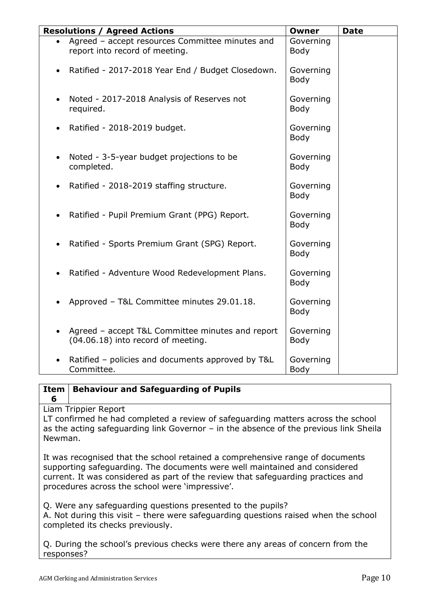| <b>Resolutions / Agreed Actions</b>                                                    | Owner                    | <b>Date</b> |
|----------------------------------------------------------------------------------------|--------------------------|-------------|
| Agreed - accept resources Committee minutes and<br>report into record of meeting.      | Governing<br><b>Body</b> |             |
| Ratified - 2017-2018 Year End / Budget Closedown.                                      | Governing<br><b>Body</b> |             |
| Noted - 2017-2018 Analysis of Reserves not<br>required.                                | Governing<br>Body        |             |
| Ratified - 2018-2019 budget.                                                           | Governing<br><b>Body</b> |             |
| Noted - 3-5-year budget projections to be<br>completed.                                | Governing<br><b>Body</b> |             |
| Ratified - 2018-2019 staffing structure.                                               | Governing<br>Body        |             |
| Ratified - Pupil Premium Grant (PPG) Report.                                           | Governing<br>Body        |             |
| Ratified - Sports Premium Grant (SPG) Report.                                          | Governing<br>Body        |             |
| Ratified - Adventure Wood Redevelopment Plans.                                         | Governing<br><b>Body</b> |             |
| Approved - T&L Committee minutes 29.01.18.                                             | Governing<br>Body        |             |
| Agreed - accept T&L Committee minutes and report<br>(04.06.18) into record of meeting. | Governing<br><b>Body</b> |             |
| Ratified - policies and documents approved by T&L<br>Committee.                        | Governing<br><b>Body</b> |             |

#### **Item Behaviour and Safeguarding of Pupils**

Liam Trippier Report

**6**

LT confirmed he had completed a review of safeguarding matters across the school as the acting safeguarding link Governor – in the absence of the previous link Sheila Newman.

It was recognised that the school retained a comprehensive range of documents supporting safeguarding. The documents were well maintained and considered current. It was considered as part of the review that safeguarding practices and procedures across the school were 'impressive'.

Q. Were any safeguarding questions presented to the pupils?

A. Not during this visit – there were safeguarding questions raised when the school completed its checks previously.

Q. During the school's previous checks were there any areas of concern from the responses?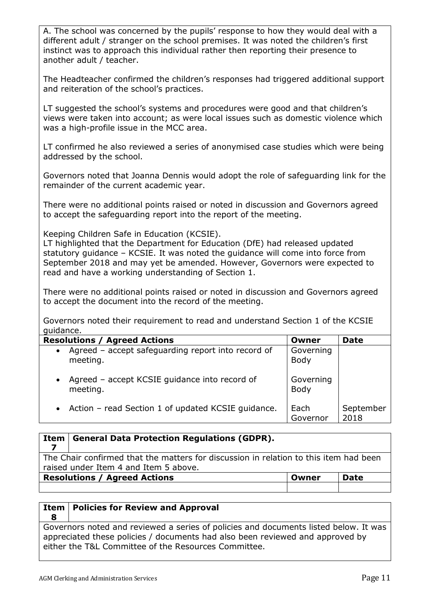A. The school was concerned by the pupils' response to how they would deal with a different adult / stranger on the school premises. It was noted the children's first instinct was to approach this individual rather then reporting their presence to another adult / teacher.

The Headteacher confirmed the children's responses had triggered additional support and reiteration of the school's practices.

LT suggested the school's systems and procedures were good and that children's views were taken into account; as were local issues such as domestic violence which was a high-profile issue in the MCC area.

LT confirmed he also reviewed a series of anonymised case studies which were being addressed by the school.

Governors noted that Joanna Dennis would adopt the role of safeguarding link for the remainder of the current academic year.

There were no additional points raised or noted in discussion and Governors agreed to accept the safeguarding report into the report of the meeting.

Keeping Children Safe in Education (KCSIE).

LT highlighted that the Department for Education (DfE) had released updated statutory guidance – KCSIE. It was noted the guidance will come into force from September 2018 and may yet be amended. However, Governors were expected to read and have a working understanding of Section 1.

There were no additional points raised or noted in discussion and Governors agreed to accept the document into the record of the meeting.

Governors noted their requirement to read and understand Section 1 of the KCSIE guidance.

| <b>Resolutions / Agreed Actions</b>                                         | Owner             | <b>Date</b>       |
|-----------------------------------------------------------------------------|-------------------|-------------------|
| Agreed - accept safeguarding report into record of<br>$\bullet$<br>meeting. | Governing<br>Body |                   |
| Agreed - accept KCSIE guidance into record of<br>$\bullet$<br>meeting.      | Governing<br>Body |                   |
| • Action – read Section 1 of updated KCSIE guidance.                        | Each<br>Governor  | September<br>2018 |

| Item                                                                                                                           | <b>General Data Protection Regulations (GDPR).</b> |  |  |
|--------------------------------------------------------------------------------------------------------------------------------|----------------------------------------------------|--|--|
| The Chair confirmed that the matters for discussion in relation to this item had been<br>raised under Item 4 and Item 5 above. |                                                    |  |  |
| <b>Resolutions / Agreed Actions</b><br>Date<br>Owner                                                                           |                                                    |  |  |
|                                                                                                                                |                                                    |  |  |

### **Item Policies for Review and Approval**

Governors noted and reviewed a series of policies and documents listed below. It was appreciated these policies / documents had also been reviewed and approved by either the T&L Committee of the Resources Committee.

**8**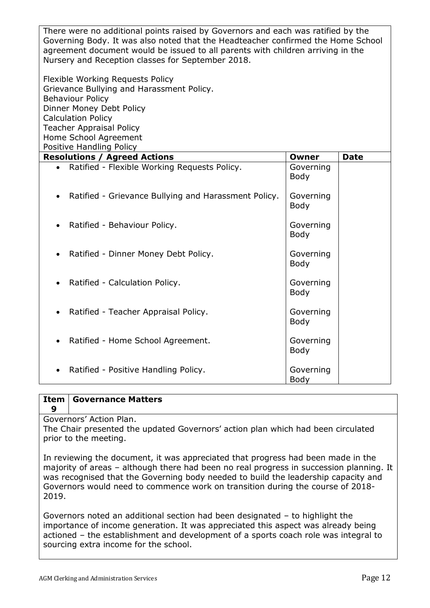| There were no additional points raised by Governors and each was ratified by the<br>Governing Body. It was also noted that the Headteacher confirmed the Home School<br>agreement document would be issued to all parents with children arriving in the<br>Nursery and Reception classes for September 2018.<br>Flexible Working Requests Policy<br>Grievance Bullying and Harassment Policy.<br><b>Behaviour Policy</b><br>Dinner Money Debt Policy<br><b>Calculation Policy</b><br><b>Teacher Appraisal Policy</b><br>Home School Agreement |                                          |             |  |
|-----------------------------------------------------------------------------------------------------------------------------------------------------------------------------------------------------------------------------------------------------------------------------------------------------------------------------------------------------------------------------------------------------------------------------------------------------------------------------------------------------------------------------------------------|------------------------------------------|-------------|--|
| Positive Handling Policy                                                                                                                                                                                                                                                                                                                                                                                                                                                                                                                      |                                          |             |  |
| <b>Resolutions / Agreed Actions</b><br>Ratified - Flexible Working Requests Policy.                                                                                                                                                                                                                                                                                                                                                                                                                                                           | <b>Owner</b><br>Governing<br><b>Body</b> | <b>Date</b> |  |
| Ratified - Grievance Bullying and Harassment Policy.                                                                                                                                                                                                                                                                                                                                                                                                                                                                                          | Governing<br>Body                        |             |  |
| Ratified - Behaviour Policy.                                                                                                                                                                                                                                                                                                                                                                                                                                                                                                                  | Governing<br><b>Body</b>                 |             |  |
| Ratified - Dinner Money Debt Policy.                                                                                                                                                                                                                                                                                                                                                                                                                                                                                                          | Governing<br><b>Body</b>                 |             |  |
| Ratified - Calculation Policy.                                                                                                                                                                                                                                                                                                                                                                                                                                                                                                                | Governing<br><b>Body</b>                 |             |  |
| Ratified - Teacher Appraisal Policy.                                                                                                                                                                                                                                                                                                                                                                                                                                                                                                          | Governing<br><b>Body</b>                 |             |  |
| Ratified - Home School Agreement.                                                                                                                                                                                                                                                                                                                                                                                                                                                                                                             | Governing<br>Body                        |             |  |
| Ratified - Positive Handling Policy.                                                                                                                                                                                                                                                                                                                                                                                                                                                                                                          | Governing<br><b>Body</b>                 |             |  |

#### **Item 9 Governance Matters**

Governors' Action Plan.

The Chair presented the updated Governors' action plan which had been circulated prior to the meeting.

In reviewing the document, it was appreciated that progress had been made in the majority of areas – although there had been no real progress in succession planning. It was recognised that the Governing body needed to build the leadership capacity and Governors would need to commence work on transition during the course of 2018- 2019.

Governors noted an additional section had been designated – to highlight the importance of income generation. It was appreciated this aspect was already being actioned – the establishment and development of a sports coach role was integral to sourcing extra income for the school.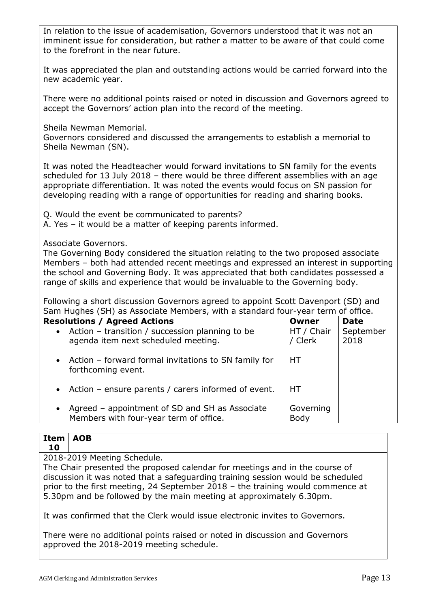In relation to the issue of academisation, Governors understood that it was not an imminent issue for consideration, but rather a matter to be aware of that could come to the forefront in the near future.

It was appreciated the plan and outstanding actions would be carried forward into the new academic year.

There were no additional points raised or noted in discussion and Governors agreed to accept the Governors' action plan into the record of the meeting.

Sheila Newman Memorial.

Governors considered and discussed the arrangements to establish a memorial to Sheila Newman (SN).

It was noted the Headteacher would forward invitations to SN family for the events scheduled for 13 July 2018 – there would be three different assemblies with an age appropriate differentiation. It was noted the events would focus on SN passion for developing reading with a range of opportunities for reading and sharing books.

Q. Would the event be communicated to parents?

A. Yes – it would be a matter of keeping parents informed.

Associate Governors.

The Governing Body considered the situation relating to the two proposed associate Members – both had attended recent meetings and expressed an interest in supporting the school and Governing Body. It was appreciated that both candidates possessed a range of skills and experience that would be invaluable to the Governing body.

Following a short discussion Governors agreed to appoint Scott Davenport (SD) and Sam Hughes (SH) as Associate Members, with a standard four-year term of office.

| <b>Resolutions / Agreed Actions</b>                                                                   | Owner                 | <b>Date</b>       |
|-------------------------------------------------------------------------------------------------------|-----------------------|-------------------|
| • Action – transition / succession planning to be<br>agenda item next scheduled meeting.              | HT / Chair<br>/ Clerk | September<br>2018 |
| • Action – forward formal invitations to SN family for<br>forthcoming event.                          | HТ                    |                   |
| • Action – ensure parents / carers informed of event.                                                 | HТ                    |                   |
| Agreed - appointment of SD and SH as Associate<br>$\bullet$<br>Members with four-year term of office. | Governing<br>Body     |                   |

### **Item 10 AOB**

2018-2019 Meeting Schedule.

The Chair presented the proposed calendar for meetings and in the course of discussion it was noted that a safeguarding training session would be scheduled prior to the first meeting, 24 September 2018 – the training would commence at 5.30pm and be followed by the main meeting at approximately 6.30pm.

It was confirmed that the Clerk would issue electronic invites to Governors.

There were no additional points raised or noted in discussion and Governors approved the 2018-2019 meeting schedule.